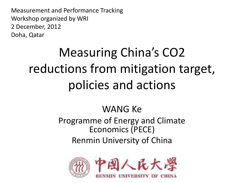Measurement and Performance Tracking Workshop organized by WRI 2 December, 2012 Doha, Qatar

# Measuring China's CO2 reductions from mitigation target, policies and actions

### WANG Ke

Programme of Energy and Climate Economics (PECE) Renmin University of China

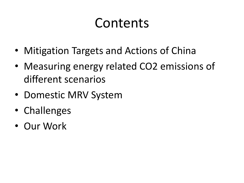# Contents

- Mitigation Targets and Actions of China
- Measuring energy related CO2 emissions of different scenarios
- Domestic MRV System
- Challenges
- Our Work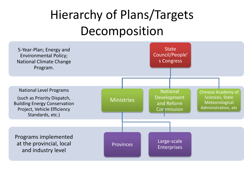# Hierarchy of Plans/Targets Decomposition

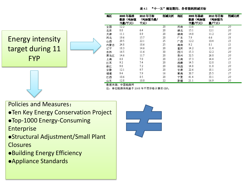表 4.1 "十一五"规划期间, 各省能耗削减目标

#### Energy intensity target during 11 FYP

| 地区  | 2005年基础<br>数据(吨标煤<br>当量/千元〉 | 2010年目标<br>(吨标煤当量/<br>千元) | 削减比例    | 地区 | 2005年基础<br>数据(吨标煤<br>当量/千元) | 2010年目标<br>(吨标煤当<br>量/千元) | 削減比例 |
|-----|-----------------------------|---------------------------|---------|----|-----------------------------|---------------------------|------|
| 全国  | 12.2                        |                           | 20      | 河南 | 13.8                        | 11.0                      | 20   |
| 北京  | 8.0                         | 6.4                       | 20      | 潮北 | 15.1                        | 12.1                      | 20   |
| 天津  | 11.1                        | 8.9                       | $^{20}$ | 潮南 | 14.0                        | 11.2                      | 20   |
| 河北  | 19.6                        | 15.7                      | 20      | 广东 | 7.9                         | б.б                       | 16   |
| 山西  | 29.5                        | 22.1                      | 25      | 广西 | 12.2                        | 10.4                      | 15   |
| 内蒙古 | 24.8                        | 18.6                      | 25      | 海南 | 9.2                         | 8.1                       | 12   |
| 辽宁  | 18.3                        | 14.6                      | 20      | 重庆 | 14.2                        | 11.4                      | 20   |
| 吉林  | 16.5                        | 11.6                      | 30      | 四川 | 15.3                        | 12.2                      | 20   |
| 黑龙江 | 14.6                        | 11.7                      | 20      | 贵州 | 32.5                        | 26.0                      | 20   |
| 上海  | 8.8                         | 7.0                       | 20      | 云南 | 17.3                        | 14.4                      | 17   |
| 杠苏  | 9.2                         | 7.4                       | 20      | 西藏 | 14.5                        | 12.8                      | 12   |
| 浙江  | 9.0                         | 7.2                       | 20      | 陕西 | 14.8                        | 11.8                      | 20   |
| 安徽  | 12.1                        | 9.7                       | 20      | 甘肃 | 22.6                        | 18.1                      | 20   |
| 福建  | 9.4                         | 7.9                       | 16      | 青海 | 30.7                        | 25.5                      | 17   |
| 江西  | 10.6                        | 8.5                       | 20      | 宁夏 | 41.4                        | 33.1                      | 20   |
| 山东  | 12.8                        | 10.0                      | 22      | 新疆 | 21.1                        | 16.9                      | 20   |

数据来源: 中国能源网

往: 单位能源消耗基于 2005 年不变价格计算的 GDP。

Policies and Measures:

- **. Ten Key Energy Conservation Project**
- Top-1000 Energy-Consuming Enterprise
- Structural Adjustment/Small Plant **Closures**
- Building Energy Efficiency
- Appliance Standards

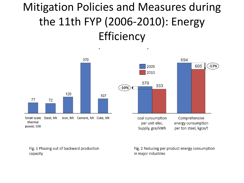## Mitigation Policies and Measures during the 11th FYP (2006‐2010): Energy **Efficiency**

٠



Fig. 1 Phasing out of backward production capacity

Fig. 2 Reducing per product energy consumption in major industries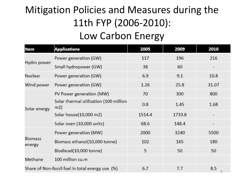## Mitigation Policies and Measures during the 11th FYP (2006‐2010):

### Low Carbon Energy

| Item                        | <b>Applications</b>                              | 2005   | 2009   | 2010     |
|-----------------------------|--------------------------------------------------|--------|--------|----------|
|                             | Power generation (GW)                            | 117    | 196    | 216      |
| Hydro power                 | Small hydropower (GW)                            | 38     | 60     |          |
| Nuclear                     | Power generation (GW)                            | 6.9    | 9.1    | 10.8     |
| Wind power                  | Power generation (GW)                            | 1.26   | 25.8   | 31.07    |
|                             | PV Power generation (MW)                         | 70     | 300    | 800      |
| Solar energy                | Solar thermal utilization (100 million<br>m2)    | 0.8    | 1.45   | 1.68     |
|                             | Solar house(10,000 m2)                           | 1514.4 | 1733.8 | -        |
|                             | Solar oven (10,000 units)                        | 68.6   | 148.4  |          |
|                             | Power generation (MW)                            | 2000   | 3240   | 5500     |
| <b>Biomass</b><br>energy    | Biomass ethanol(10,000 tonne)                    | 102    | 165    | 180      |
|                             | Biodiesel(10,000 tonne)                          | 5      | 50     | 50       |
| 100 million cu.m<br>Methane |                                                  |        |        |          |
|                             | Share of Non-fossil fuel in total energy use (%) | 6.7    | 7.7    | 8.5<br>5 |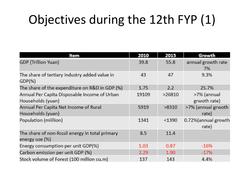## Objectives during the 12th FYP (1)

| Item                                                              | 2010  | 2015   | Growth                       |
|-------------------------------------------------------------------|-------|--------|------------------------------|
| GDP (Trillion Yuan)                                               | 39.8  | 55.8   | annual growth rate<br>7%     |
| The share of tertiary industry added value in<br>GDP(%)           | 43    | 47     | 9.3%                         |
| The share of the expenditure on R&D in GDP (%)                    | 1.75  | 2.2    | 25.7%                        |
| Annual Per Capita Disposable Income of Urban<br>Households (yuan) | 19109 | >26810 | >7% (annual<br>grwoth rate)  |
| Annual Per Capita Net Income of Rural<br>Households (yuan)        | 5919  | >8310  | >7% (annual grwoth<br>rate)  |
| Population (miillion)                                             | 1341  | < 1390 | 0.72%(annual growth<br>rate) |
| The share of non-fossil energy in total primary<br>energy use (%) | 8.5   | 11.4   |                              |
| Energy consumption per unit GDP(%)                                | 1.03  | 0.87   | $-16%$                       |
| Carbon emission per unit GDP (%)                                  | 2.29  | 1.90   | $-17%$                       |
| Stock volume of Forest (100 million cu.m)                         | 137   | 143    | 4.4%                         |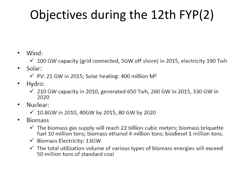# Objectives during the 12th FYP(2)

- Wind: ٠
	- $\checkmark$  100 GW capacity (grid connected, 5GW off shore) in 2015, electricity 190 Twh
- Solar: ٠
	- $\checkmark$  PV: 21 GW in 2015; Solar heating: 400 million M<sup>2</sup>
- Hydro: ٠
	- $\checkmark$  210 GW capacity in 2010, generated 650 Twh, 260 GW in 2015, 330 GW in 2020
- Nuclear: ٠
	- √ 10.8GW in 2010, 40GW by 2015, 80 GW by 2020
- **Biomass** ٠
	- $\checkmark$  The biomass gas supply will reach 22 billion cubic meters; biomass briquette fuel 10 million tons; biomass ethanol 4 million tons; biodiesel 1 million tons.
	- $\checkmark$  Biomass Electricity: 13GW
	- $\checkmark$  The total utilization volume of various types of biomass energies will exceed 50 million tons of standard coal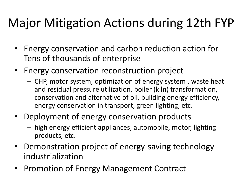## Major Mitigation Actions during 12th FYP

- Energy conservation and carbon reduction action for Tens of thousands of enterprise
- Energy conservation reconstruction project
	- CHP, motor system, optimization of energy system , waste heat and residual pressure utilization, boiler (kiln) transformation, conservation and alternative of oil, building energy efficiency, energy conservation in transport, green lighting, etc.
- Deployment of energy conservation products
	- high energy efficient appliances, automobile, motor, lighting products, etc.
- Demonstration project of energy-saving technology industrialization
- Promotion of Energy Management Contract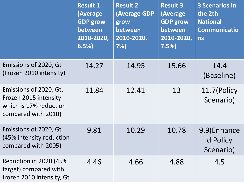|                                                                                                  | <b>Result 1</b><br>(Average<br><b>GDP grow</b><br>between<br>2010-2020,<br>6.5% | <b>Result 2</b><br><b>(Average GDP</b><br>grow<br>between<br>2010-2020,<br>7% | <b>Result 3</b><br>(Average<br><b>GDP grow</b><br>between<br>2010-2020,<br>7.5% | <b>3 Scenarios in</b><br>the 2th<br><b>National</b><br><b>Communicatio</b><br><b>ns</b> |
|--------------------------------------------------------------------------------------------------|---------------------------------------------------------------------------------|-------------------------------------------------------------------------------|---------------------------------------------------------------------------------|-----------------------------------------------------------------------------------------|
| Emissions of 2020, Gt<br>(Frozen 2010 intensity)                                                 | 14.27                                                                           | 14.95                                                                         | 15.66                                                                           | 14.4<br>(Baseline)                                                                      |
| Emissions of 2020, Gt,<br>Frozen 2015 intensity<br>which is 17% reduction<br>compared with 2010) | 11.84                                                                           | 12.41                                                                         | 13                                                                              | 11.7(Policy<br>Scenario)                                                                |
| Emissions of 2020, Gt<br>(45% intensity reduction<br>compared with 2005)                         | 9.81                                                                            | 10.29                                                                         | 10.78                                                                           | 9.9(Enhance<br>d Policy<br>Scenario)                                                    |
| <b>Reduction in 2020 (45%)</b><br>target) compared with<br>frozen 2010 intensity, Gt             | 4.46                                                                            | 4.66                                                                          | 4.88                                                                            | 4.5                                                                                     |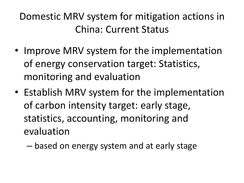Domestic MRV system for mitigation actions in China: Current Status

- Improve MRV system for the implementation of energy conservation target: Statistics, monitoring and evaluation
- Establish MRV system for the implementation of carbon intensity target: early stage, statistics, accounting, monitoring and evaluation
	- based on energy system and at early stage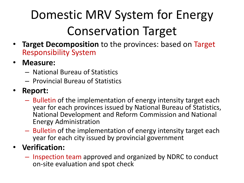# Domestic MRV System for Energy Conservation Target

- **Target Decomposition** to the provinces: based on Target Responsibility System
- **Measure:** 
	- National Bureau of Statistics
	- Provincial Bureau of Statistics

#### • **Report:**

- Bulletin of the implementation of energy intensity target each year for each provinces issued by National Bureau of Statistics, National Development and Reform Commission and National Energy Administration
- Bulletin of the implementation of energy intensity target each year for each city issued by provincial government

#### • **Verification:**

– Inspection team approved and organized by NDRC to conduct on-site evaluation and spot check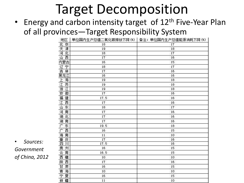## Target Decomposition

#### • Energy and carbon intensity target of 12<sup>th</sup> Five-Year Plan of all provinces—Target Responsibility System

| 地区       |      | 单位国内生产总值二氧化碳排放下降 (%)  备注:单位国内生产总值能源消耗下降 (%) |
|----------|------|---------------------------------------------|
| 北京       | 18   | 17                                          |
| 天津       | 19   | 18                                          |
| 河北       | 18   | 17                                          |
| 西<br>山   | 17   | 16                                          |
| 内蒙古      | 16   | 15                                          |
| 辽宁       | 18   | 17                                          |
| 吉<br>林   | 17   | 16                                          |
| 黑龙江      | 16   | 16                                          |
| 海        | 19   | 18                                          |
| 江浙江徽     | 19   | 18                                          |
|          | 19   | 18                                          |
|          | 17   | 16                                          |
| 福建       | 17.5 | 16                                          |
| 江西       | 17   | 16                                          |
| 东<br>Щ   | 18   | 17                                          |
| 河<br>南   | 17   | 16                                          |
| 湖北       | 17   | 16                                          |
| 湖南       | 17   | 16                                          |
| 产<br>东   | 19.5 | 18                                          |
| 西<br>广   | 16   | 15                                          |
| 海<br>南   | 11   | 10                                          |
| 庆<br>重   | 17   | 16                                          |
| 四<br>Л   | 17.5 | 16                                          |
| 州        | 16   | 15                                          |
| 贵云西<br>南 | 16.5 | 15                                          |
| 藏        | 10   | 10                                          |
| 陕<br>西   | 17   | 16                                          |
| Ħ<br>肃   | 16   | 15                                          |
| 青<br>海   | 10   | 10                                          |
| 宁<br>夏   | 16   | 15                                          |
| 新疆       | 11   | 10                                          |

• *Sources: Government of China, 2012*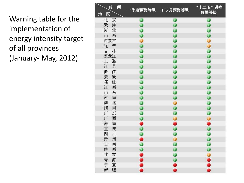Warning table for the implementation of energy intensity target of all provinces (January- May, 2012)

| 间<br>时           | 季度预警等级    | 1-5 月預警等级    | "十二五"进度<br>预警等级 |
|------------------|-----------|--------------|-----------------|
| 地<br>区           |           |              |                 |
| 北<br>京           | Ø         | 0            |                 |
| 津<br>天           | $\bullet$ | 0            | $\bullet$       |
| 北<br>河           | Ø         | Ø            | Ð               |
| 西<br>Щ           | Ø         | 0            | Ø               |
| 内蒙古              | 0         | Ø            | 0               |
| 辽<br>宁           |           | Ö            | 0               |
| 吉<br>林           | Ø         | Ø            | Ø               |
| 黑龙江              | Ð         | $\mathcal O$ | Ø               |
| $\pm$<br>海       | Ø         | Ø            | Ø               |
| 江<br>苏           | 0         | Ø            | Ø               |
| 浙<br>江           | Ø         | 0            | Ø               |
| 安<br>黴           | Ø         | 0            | 0               |
| 福<br>建           | D         | 0            | Ð               |
| 江<br>西           |           | Ø            | Ø               |
| Щ<br>东           | Ø         | Ø            | Ø               |
| 河<br>南           | ⊕         | Ø            | Ø               |
| 湖<br>北           | Ø         | 0            | Ø               |
| 湖<br>南           | Ø         | 0            | 0               |
| 广<br>东           | T         | Ø            | Ø               |
| 广<br>西           | Ø         | 0            | 0               |
| 海<br>南           | ð         | Ö            | Ô               |
| 重<br>庆           |           | Ø            | $\ddot{\bm{o}}$ |
| 四<br>川           | Ø         | Ø            | Ø               |
| 贵<br>州           | ð         | Ō            | 0               |
| $\vec{\Xi}$<br>南 | Ø         | Ø            | D               |
| 陕<br>西           |           | Ø            | Ø               |
| 甘<br>肃           |           | Ø            | 0               |
| 青<br>海           |           |              |                 |
| 宁<br>夏           |           | $\bullet$    |                 |
| 新<br>疆           |           |              |                 |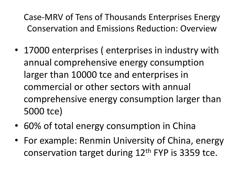Case-MRV of Tens of Thousands Enterprises Energy Conservation and Emissions Reduction: Overview

- 17000 enterprises ( enterprises in industry with annual comprehensive energy consumption larger than 10000 tce and enterprises in commercial or other sectors with annual comprehensive energy consumption larger than 5000 tce)
- 60% of total energy consumption in China
- For example: Renmin University of China, energy conservation target during  $12<sup>th</sup>$  FYP is 3359 tce.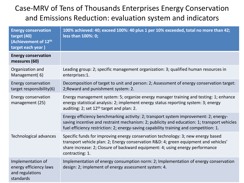#### Case-MRV of Tens of Thousands Enterprises Energy Conservation and Emissions Reduction: evaluation system and indicators

| <b>Energy conservation</b><br>target (40)<br>(Achievement of 12th<br>target each year) | 100% achieved: 40; exceed 100%: 40 plus 1 per 10% exceeded, total no more than 42;<br>less than 100%: 0;                                                                                                                                                                     |
|----------------------------------------------------------------------------------------|------------------------------------------------------------------------------------------------------------------------------------------------------------------------------------------------------------------------------------------------------------------------------|
| <b>Energy conservation</b><br>measures (60)                                            |                                                                                                                                                                                                                                                                              |
| Organization and<br>Management(6)                                                      | Leading group: 2; specific management organization: 3; qualified human resources in<br>enterprises:1.                                                                                                                                                                        |
| <b>Energy conservation</b><br>target responsibility(6)                                 | Decomposition of target to unit and person: 2; Assessment of energy conservation target:<br>2; Reward and punishment system: 2.                                                                                                                                              |
| Energy conservation<br>management (25)                                                 | Energy management system: 5; organize energy manager training and testing: 1; enhance<br>energy statistical analysis: 2; implement energy status reporting system: 3; energy<br>auditing: 2; set $12th$ target and plan: 2.                                                  |
|                                                                                        | Energy efficiency benchmarking activity: 2; transport system improvement: 2; energy-<br>saving incentive and restraint mechanism: 2; publicity and education: 1; transport vehicles<br>fuel efficiency restriction: 2; energy-saving capability training and competition: 1. |
| Technological advances                                                                 | Specific funds for improving energy conservation technology: 3; new energy based<br>transport vehicle plan: 2; Energy conservation R&D: 4; green equipment and vehicles'<br>share increase: 2; Closure of backward equipment: 4; using energy performance<br>contracting: 1. |
| Implementation of<br>energy efficiency laws<br>and regulations<br>standards            | Implementation of energy consumption norm: 2; Implementation of energy conservation<br>design: 2; implement of energy assessment system: 4.                                                                                                                                  |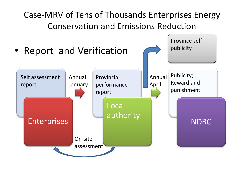### Case-MRV of Tens of Thousands Enterprises Energy Conservation and Emissions Reduction

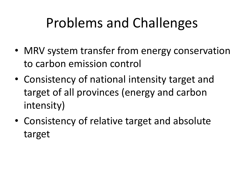# Problems and Challenges

- MRV system transfer from energy conservation to carbon emission control
- Consistency of national intensity target and target of all provinces (energy and carbon intensity)
- Consistency of relative target and absolute target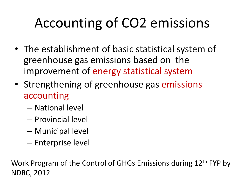# Accounting of CO2 emissions

- The establishment of basic statistical system of greenhouse gas emissions based on the improvement of energy statistical system
- Strengthening of greenhouse gas emissions accounting
	- National level
	- Provincial level
	- Municipal level
	- Enterprise level

Work Program of the Control of GHGs Emissions during 12<sup>th</sup> FYP by NDRC, 2012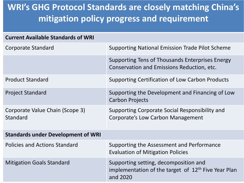### **WRI's GHG Protocol Standards are closely matching China's mitigation policy progress and requirement**

| <b>Current Available Standards of WRI</b>   |                                                                                                                      |
|---------------------------------------------|----------------------------------------------------------------------------------------------------------------------|
| Corporate Standard                          | <b>Supporting National Emission Trade Pilot Scheme</b>                                                               |
|                                             | Supporting Tens of Thousands Enterprises Energy<br>Conservation and Emissions Reduction, etc.                        |
| <b>Product Standard</b>                     | Supporting Certification of Low Carbon Products                                                                      |
| <b>Project Standard</b>                     | Supporting the Development and Financing of Low<br><b>Carbon Projects</b>                                            |
| Corporate Value Chain (Scope 3)<br>Standard | Supporting Corporate Social Responsibility and<br>Corporate's Low Carbon Management                                  |
| <b>Standards under Development of WRI</b>   |                                                                                                                      |
| Policies and Actions Standard               | Supporting the Assessment and Performance<br><b>Evaluation of Mitigation Policies</b>                                |
| <b>Mitigation Goals Standard</b>            | Supporting setting, decomposition and<br>implementation of the target of 12 <sup>th</sup> Five Year Plan<br>and 2020 |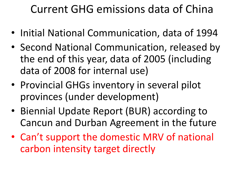## Current GHG emissions data of China

- Initial National Communication, data of 1994
- Second National Communication, released by the end of this year, data of 2005 (including data of 2008 for internal use)
- Provincial GHGs inventory in several pilot provinces (under development)
- Biennial Update Report (BUR) according to Cancun and Durban Agreement in the future
- Can't support the domestic MRV of national carbon intensity target directly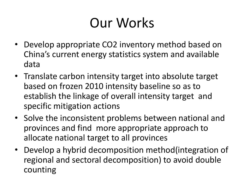# Our Works

- Develop appropriate CO2 inventory method based on China's current energy statistics system and available data
- Translate carbon intensity target into absolute target based on frozen 2010 intensity baseline so as to establish the linkage of overall intensity target and specific mitigation actions
- Solve the inconsistent problems between national and provinces and find more appropriate approach to allocate national target to all provinces
- Develop a hybrid decomposition method(integration of regional and sectoral decomposition) to avoid double counting